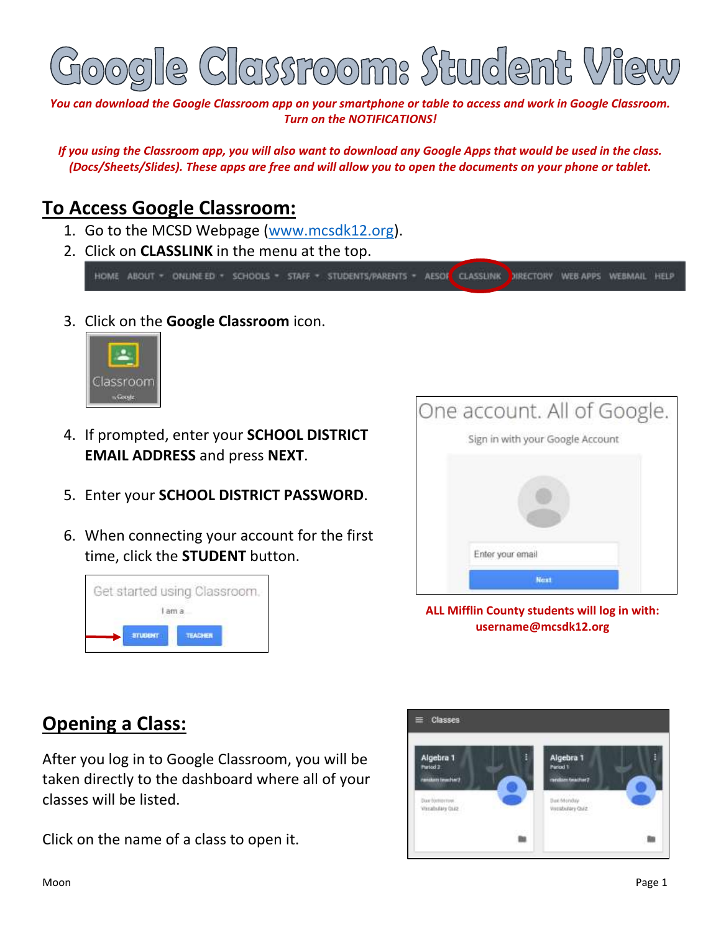

*You can download the Google Classroom app on your smartphone or table to access and work in Google Classroom. Turn on the NOTIFICATIONS!*

*If you using the Classroom app, you will also want to download any Google Apps that would be used in the class. (Docs/Sheets/Slides). These apps are free and will allow you to open the documents on your phone or tablet.*

## **To Access Google Classroom:**

- 1. Go to the MCSD Webpage [\(www.mcsdk12.org\)](http://www.mcsdk12.org/).
- 2. Click on **CLASSLINK** in the menu at the top.

HOME ABOUT - ONLINEED - SCHOOLS - STAFF - STUDENTS/PARENTS - AESOK CLASSLINK DIRECTORY WEBAPPS WEBMAIL HELP

3. Click on the **Google Classroom** icon.



- 4. If prompted, enter your **SCHOOL DISTRICT EMAIL ADDRESS** and press **NEXT**.
- 5. Enter your **SCHOOL DISTRICT PASSWORD**.
- 6. When connecting your account for the first time, click the **STUDENT** button.





**ALL Mifflin County students will log in with: username@mcsdk12.org**

## **Opening a Class:**

After you log in to Google Classroom, you will be taken directly to the dashboard where all of your classes will be listed.

Click on the name of a class to open it.

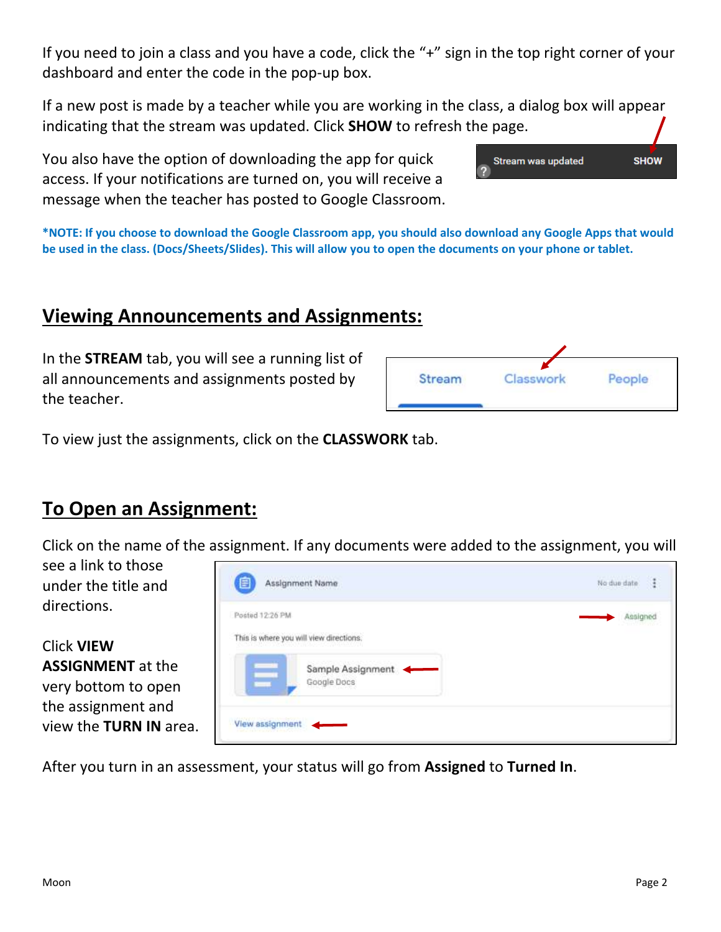If you need to join a class and you have a code, click the "+" sign in the top right corner of your dashboard and enter the code in the pop-up box.

If a new post is made by a teacher while you are working in the class, a dialog box will appear indicating that the stream was updated. Click **SHOW** to refresh the page.

You also have the option of downloading the app for quick access. If your notifications are turned on, you will receive a message when the teacher has posted to Google Classroom.

**\*NOTE: If you choose to download the Google Classroom app, you should also download any Google Apps that would be used in the class. (Docs/Sheets/Slides). This will allow you to open the documents on your phone or tablet.**

## **Viewing Announcements and Assignments:**

In the **STREAM** tab, you will see a running list of all announcements and assignments posted by the teacher.

| Stream | asswork | People |
|--------|---------|--------|
|--------|---------|--------|

Stream was updated

**SHOW** 

To view just the assignments, click on the **CLASSWORK** tab.

## **To Open an Assignment:**

Click on the name of the assignment. If any documents were added to the assignment, you will

see a link to those under the title and directions.

Click **VIEW ASSIGNMENT** at the very bottom to open the assignment and view the **TURN IN** area.



After you turn in an assessment, your status will go from **Assigned** to **Turned In**.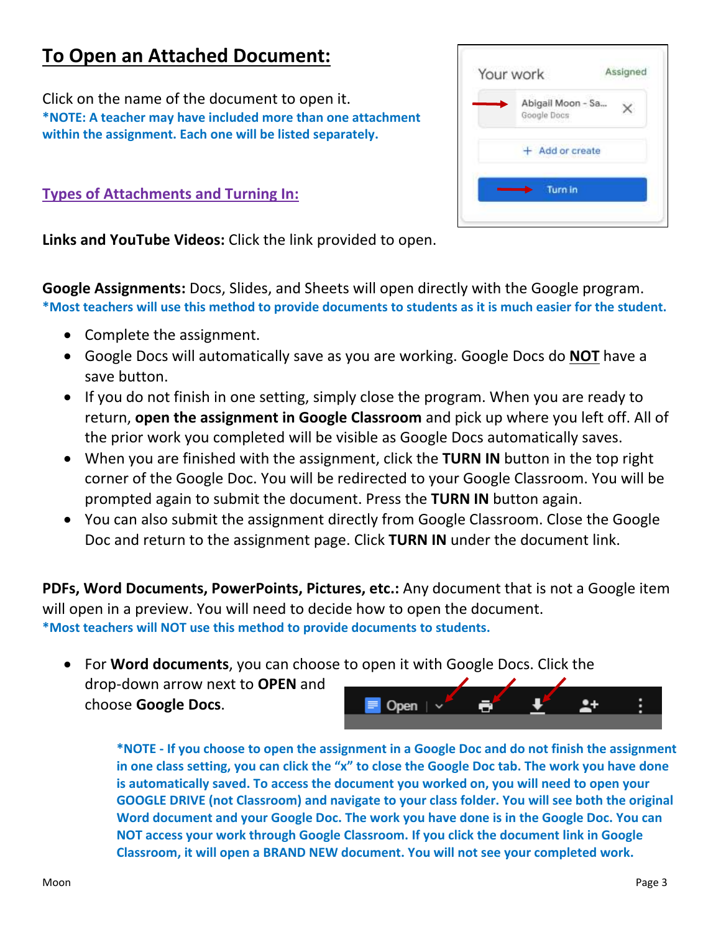# **To Open an Attached Document:**

Click on the name of the document to open it. **\*NOTE: A teacher may have included more than one attachment within the assignment. Each one will be listed separately.**

**Types of Attachments and Turning In:**



**Links and YouTube Videos:** Click the link provided to open.

**Google Assignments:** Docs, Slides, and Sheets will open directly with the Google program. **\*Most teachers will use this method to provide documents to students as it is much easier for the student.**

- Complete the assignment.
- Google Docs will automatically save as you are working. Google Docs do **NOT** have a save button.
- If you do not finish in one setting, simply close the program. When you are ready to return, **open the assignment in Google Classroom** and pick up where you left off. All of the prior work you completed will be visible as Google Docs automatically saves.
- When you are finished with the assignment, click the **TURN IN** button in the top right corner of the Google Doc. You will be redirected to your Google Classroom. You will be prompted again to submit the document. Press the **TURN IN** button again.
- You can also submit the assignment directly from Google Classroom. Close the Google Doc and return to the assignment page. Click **TURN IN** under the document link.

**PDFs, Word Documents, PowerPoints, Pictures, etc.:** Any document that is not a Google item will open in a preview. You will need to decide how to open the document. **\*Most teachers will NOT use this method to provide documents to students.**

• For **Word documents**, you can choose to open it with Google Docs. Click the drop-down arrow next to **OPEN** and choose **Google Docs**. Open |



**\*NOTE - If you choose to open the assignment in a Google Doc and do not finish the assignment in one class setting, you can click the "x" to close the Google Doc tab. The work you have done is automatically saved. To access the document you worked on, you will need to open your GOOGLE DRIVE (not Classroom) and navigate to your class folder. You will see both the original Word document and your Google Doc. The work you have done is in the Google Doc. You can NOT access your work through Google Classroom. If you click the document link in Google Classroom, it will open a BRAND NEW document. You will not see your completed work.**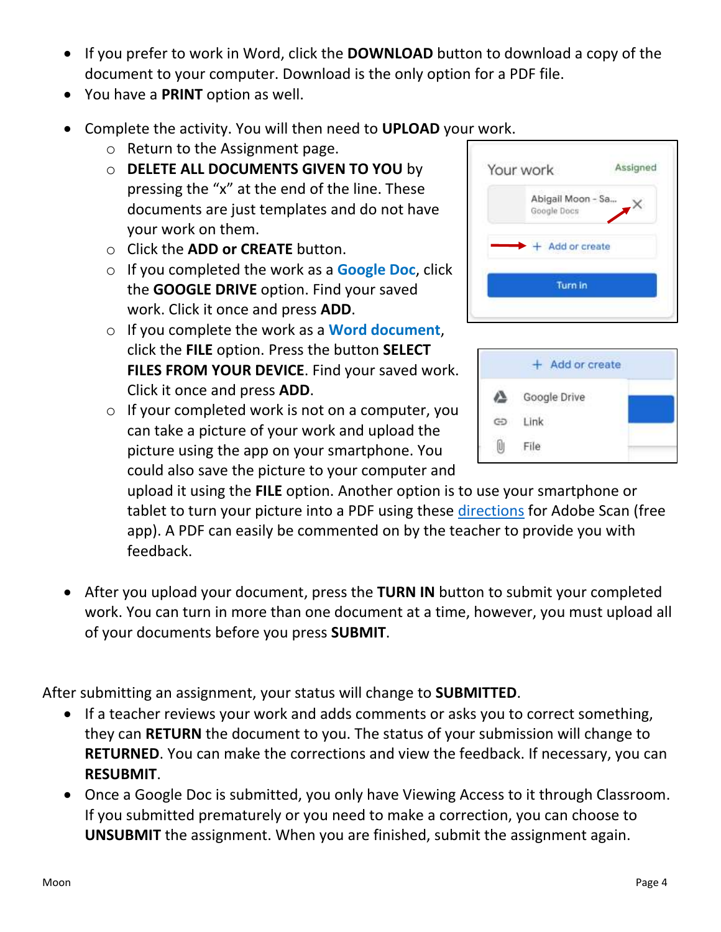- If you prefer to work in Word, click the **DOWNLOAD** button to download a copy of the document to your computer. Download is the only option for a PDF file.
- You have a **PRINT** option as well.
- Complete the activity. You will then need to **UPLOAD** your work.
	- o Return to the Assignment page.
	- o **DELETE ALL DOCUMENTS GIVEN TO YOU** by pressing the "x" at the end of the line. These documents are just templates and do not have your work on them.
	- o Click the **ADD or CREATE** button.
	- o If you completed the work as a **Google Doc**, click the **GOOGLE DRIVE** option. Find your saved work. Click it once and press **ADD**.
	- o If you complete the work as a **Word document**, click the **FILE** option. Press the button **SELECT FILES FROM YOUR DEVICE**. Find your saved work. Click it once and press **ADD**.
	- o If your completed work is not on a computer, you can take a picture of your work and upload the picture using the app on your smartphone. You could also save the picture to your computer and



| Add or create |              |  |  |  |
|---------------|--------------|--|--|--|
|               | Google Drive |  |  |  |
|               | Link         |  |  |  |
|               | ile          |  |  |  |

upload it using the **FILE** option. Another option is to use your smartphone or tablet to turn your picture into a PDF using these [directions](https://drive.google.com/open?id=1tel1j09q8tChHcI7zHayrvazs5-F54QQ) for Adobe Scan (free app). A PDF can easily be commented on by the teacher to provide you with feedback.

• After you upload your document, press the **TURN IN** button to submit your completed work. You can turn in more than one document at a time, however, you must upload all of your documents before you press **SUBMIT**.

After submitting an assignment, your status will change to **SUBMITTED**.

- If a teacher reviews your work and adds comments or asks you to correct something, they can **RETURN** the document to you. The status of your submission will change to **RETURNED**. You can make the corrections and view the feedback. If necessary, you can **RESUBMIT**.
- Once a Google Doc is submitted, you only have Viewing Access to it through Classroom. If you submitted prematurely or you need to make a correction, you can choose to **UNSUBMIT** the assignment. When you are finished, submit the assignment again.